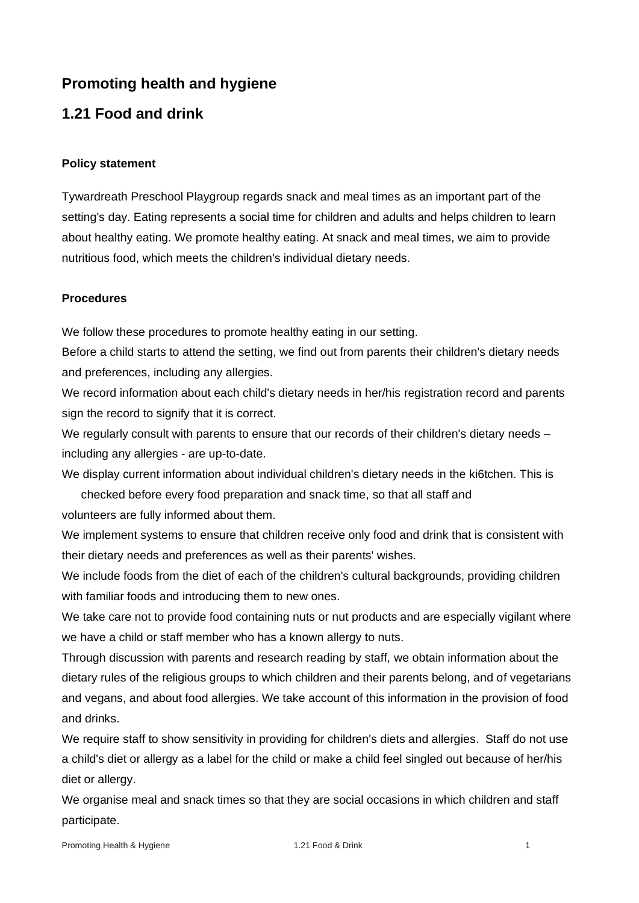# **Promoting health and hygiene**

## **1.21 Food and drink**

#### **Policy statement**

Tywardreath Preschool Playgroup regards snack and meal times as an important part of the setting's day. Eating represents a social time for children and adults and helps children to learn about healthy eating. We promote healthy eating. At snack and meal times, we aim to provide nutritious food, which meets the children's individual dietary needs.

#### **Procedures**

We follow these procedures to promote healthy eating in our setting.

Before a child starts to attend the setting, we find out from parents their children's dietary needs and preferences, including any allergies.

We record information about each child's dietary needs in her/his registration record and parents sign the record to signify that it is correct.

We regularly consult with parents to ensure that our records of their children's dietary needs including any allergies - are up-to-date.

We display current information about individual children's dietary needs in the ki6tchen. This is

checked before every food preparation and snack time, so that all staff and volunteers are fully informed about them.

We implement systems to ensure that children receive only food and drink that is consistent with their dietary needs and preferences as well as their parents' wishes.

We include foods from the diet of each of the children's cultural backgrounds, providing children with familiar foods and introducing them to new ones.

We take care not to provide food containing nuts or nut products and are especially vigilant where we have a child or staff member who has a known allergy to nuts.

Through discussion with parents and research reading by staff, we obtain information about the dietary rules of the religious groups to which children and their parents belong, and of vegetarians and vegans, and about food allergies. We take account of this information in the provision of food and drinks.

We require staff to show sensitivity in providing for children's diets and allergies. Staff do not use a child's diet or allergy as a label for the child or make a child feel singled out because of her/his diet or allergy.

We organise meal and snack times so that they are social occasions in which children and staff participate.